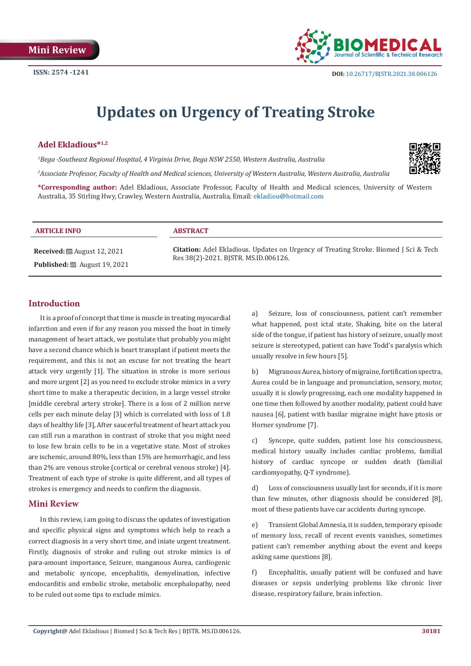

# **Updates on Urgency of Treating Stroke**

## **Adel Ekladious\*1,2**

*1 Bega -Southeast Regional Hospital, 4 Virginia Drive, Bega NSW 2550, Western Australia, Australia*

*2 Associate Professor, Faculty of Health and Medical sciences, University of Western Australia, Western Australia, Australia* 

**\*Corresponding author:** Adel Ekladious, Associate Professor, Faculty of Health and Medical sciences, University of Western Australia, 35 Stirling Hwy, Crawley, Western Australia, Australia, Email:

#### **ARTICLE INFO ABSTRACT**

**Received:** August 12, 2021 **Published:** ■ August 19, 2021

**Citation:** Adel Ekladious. Updates on Urgency of Treating Stroke. Biomed J Sci & Tech Res 38(2)-2021. BJSTR. MS.ID.006126.

### **Introduction**

It is a proof of concept that time is muscle in treating myocardial infarction and even if for any reason you missed the boat in timely management of heart attack, we postulate that probably you might have a second chance which is heart transplant if patient meets the requirement, and this is not an excuse for not treating the heart attack very urgently [1]. The situation in stroke is more serious and more urgent [2] as you need to exclude stroke mimics in a very short time to make a therapeutic decision, in a large vessel stroke [middle cerebral artery stroke]. There is a loss of 2 million nerve cells per each minute delay [3] which is correlated with loss of 1.8 days of healthy life [3], After saucerful treatment of heart attack you can still run a marathon in contrast of stroke that you might need to lose few brain cells to be in a vegetative state. Most of strokes are ischemic, around 80%, less than 15% are hemorrhagic, and less than 2% are venous stroke (cortical or cerebral venous stroke) [4]. Treatment of each type of stroke is quite different, and all types of strokes is emergency and needs to confirm the diagnosis.

#### **Mini Review**

In this review, i am going to discuss the updates of investigation and specific physical signs and symptoms which help to reach a correct diagnosis in a very short time, and iniate urgent treatment. Firstly, diagnosis of stroke and ruling out stroke mimics is of para-amount importance, Seizure, manganous Aurea, cardiogenic and metabolic syncope, encephalitis, demyelination, infective endocarditis and embolic stroke, metabolic encephalopathy, need to be ruled out some tips to exclude mimics.

a) Seizure, loss of consciousness, patient can't remember what happened, post ictal state, Shaking, bite on the lateral side of the tongue, if patient has history of seizure, usually most seizure is stereotyped, patient can have Todd's paralysis which usually resolve in few hours [5].

b) Migranous Aurea, history of migraine, fortification spectra, Aurea could be in language and pronunciation, sensory, motor, usually it is slowly progressing, each one modality happened in one time then followed by another modality, patient could have nausea [6], patient with basilar migraine might have ptosis or Horner syndrome [7].

c) Syncope, quite sudden, patient lose his consciousness, medical history usually includes cardiac problems, familial history of cardiac syncope or sudden death (familial cardiomyopathy, Q-T syndrome).

d) Loss of consciousness usually last for seconds, if it is more than few minutes, other diagnosis should be considered [8], most of these patients have car accidents during syncope.

e) Transient Global Amnesia, it is sudden, temporary episode of memory loss, recall of recent events vanishes, sometimes patient can't remember anything about the event and keeps asking same questions [8].

f) Encephalitis, usually patient will be confused and have diseases or sepsis underlying problems like chronic liver disease, respiratory failure, brain infection.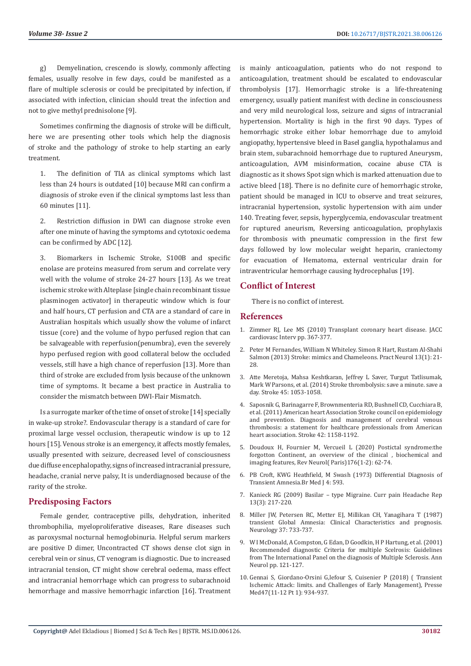g) Demyelination, crescendo is slowly, commonly affecting females, usually resolve in few days, could be manifested as a flare of multiple sclerosis or could be precipitated by infection, if associated with infection, clinician should treat the infection and not to give methyl prednisolone [9].

Sometimes confirming the diagnosis of stroke will be difficult, here we are presenting other tools which help the diagnosis of stroke and the pathology of stroke to help starting an early treatment.

1. The definition of TIA as clinical symptoms which last less than 24 hours is outdated [10] because MRI can confirm a diagnosis of stroke even if the clinical symptoms last less than 60 minutes [11].

2. Restriction diffusion in DWI can diagnose stroke even after one minute of having the symptoms and cytotoxic oedema can be confirmed by ADC [12].

3. Biomarkers in Ischemic Stroke, S100B and specific enolase are proteins measured from serum and correlate very well with the volume of stroke 24-27 hours [13]. As we treat ischemic stroke with Alteplase [single chain recombinant tissue plasminogen activator] in therapeutic window which is four and half hours, CT perfusion and CTA are a standard of care in Australian hospitals which usually show the volume of infarct tissue (core) and the volume of hypo perfused region that can be salvageable with reperfusion(penumbra), even the severely hypo perfused region with good collateral below the occluded vessels, still have a high chance of reperfusion [13]. More than third of stroke are excluded from lysis because of the unknown time of symptoms. It became a best practice in Australia to consider the mismatch between DWI-Flair Mismatch.

Is a surrogate marker of the time of onset of stroke [14] specially in wake-up stroke?. Endovascular therapy is a standard of care for proximal large vessel occlusion, therapeutic window is up to 12 hours [15]. Venous stroke is an emergency, it affects mostly females, usually presented with seizure, decreased level of consciousness due diffuse encephalopathy, signs of increased intracranial pressure, headache, cranial nerve palsy, It is underdiagnosed because of the rarity of the stroke.

#### **Predisposing Factors**

Female gender, contraceptive pills, dehydration, inherited thrombophilia, myeloproliferative diseases, Rare diseases such as paroxysmal nocturnal hemoglobinuria. Helpful serum markers are positive D dimer, Uncontracted CT shows dense clot sign in cerebral vein or sinus, CT venogram is diagnostic. Due to increased intracranial tension, CT might show cerebral oedema, mass effect and intracranial hemorrhage which can progress to subarachnoid hemorrhage and massive hemorrhagic infarction [16]. Treatment is mainly anticoagulation, patients who do not respond to anticoagulation, treatment should be escalated to endovascular thrombolysis [17]. Hemorrhagic stroke is a life-threatening emergency, usually patient manifest with decline in consciousness and very mild neurological loss, seizure and signs of intracranial hypertension. Mortality is high in the first 90 days. Types of hemorrhagic stroke either lobar hemorrhage due to amyloid angiopathy, hypertensive bleed in Basel ganglia, hypothalamus and brain stem, subarachnoid hemorrhage due to ruptured Aneurysm, anticoagulation, AVM misinformation, cocaine abuse CTA is diagnostic as it shows Spot sign which is marked attenuation due to active bleed [18]. There is no definite cure of hemorrhagic stroke, patient should be managed in ICU to observe and treat seizures, intracranial hypertension, systolic hypertension with aim under 140. Treating fever, sepsis, hyperglycemia, endovascular treatment for ruptured aneurism, Reversing anticoagulation, prophylaxis for thrombosis with pneumatic compression in the first few days followed by low molecular weight heparin, craniectomy for evacuation of Hematoma, external ventricular drain for intraventricular hemorrhage causing hydrocephalus [19].

### **Conflict of Interest**

There is no conflict of interest.

#### **References**

- 1. [Zimmer RJ, Lee MS \(2010\) Transplant coronary heart disease. JACC](https://pubmed.ncbi.nlm.nih.gov/20398862/) [cardiovasc Interv pp. 367-377.](https://pubmed.ncbi.nlm.nih.gov/20398862/)
- 2. [Peter M Fernandes, William N Whiteley. Simon R Hart, Rustam Al-Shahi](https://pubmed.ncbi.nlm.nih.gov/23315456/) [Salmon \(2013\) Stroke: mimics and Chameleons. Pract Neurol 13\(1\): 21-](https://pubmed.ncbi.nlm.nih.gov/23315456/) [28.](https://pubmed.ncbi.nlm.nih.gov/23315456/)
- 3. [Atte Meretoja, Mahsa Keshtkaran, Jeffrey L Saver, Turgut Tatlisumak,](https://pubmed.ncbi.nlm.nih.gov/24627114/) [Mark W Parsons, et al. \(2014\) Stroke thrombolysis: save a minute. save a](https://pubmed.ncbi.nlm.nih.gov/24627114/) [day. Stroke 45: 1053-1058.](https://pubmed.ncbi.nlm.nih.gov/24627114/)
- 4. [Saposnik G, Barinagarre F, Brownmenteria RD, Bushnell CD, Cucchiara B,](https://pubmed.ncbi.nlm.nih.gov/21293023/) [et al. \(2011\) American heart Association Stroke council on epidemiology](https://pubmed.ncbi.nlm.nih.gov/21293023/) [and prevention. Diagnosis and management of cerebral venous](https://pubmed.ncbi.nlm.nih.gov/21293023/) [thrombosis: a statement for healthcare professionals from American](https://pubmed.ncbi.nlm.nih.gov/21293023/) [heart association. Stroke 42: 1158-1192.](https://pubmed.ncbi.nlm.nih.gov/21293023/)
- 5. [Doudoux H, Fournier M, Vercueil L \(2020\) Postictal syndrome:the](https://pubmed.ncbi.nlm.nih.gov/31160075/) [forgotton Continent, an overview of the clinical , biochemical and](https://pubmed.ncbi.nlm.nih.gov/31160075/) [imaging features, Rev Neurol\( Paris\)176\(1-2\): 62-74.](https://pubmed.ncbi.nlm.nih.gov/31160075/)
- 6. [PB Croft, KWG Heathfield, M Swash \(1973\) Differential Diagnosis of](https://www.bmj.com/content/4/5892/593) [Transient Amnesia.Br Med J 4: 593.](https://www.bmj.com/content/4/5892/593)
- 7. [Kanieck RG \(2009\) Basilar type Migraine. Curr pain Headache Rep](https://pubmed.ncbi.nlm.nih.gov/19457282/) [13\(3\): 217-220.](https://pubmed.ncbi.nlm.nih.gov/19457282/)
- 8. [Miller JW, Petersen RC, Metter EJ, Millikan CH, Yanagihara T \(1987\)](https://pubmed.ncbi.nlm.nih.gov/3574671/) [transient Global Amnesia: Clinical Characteristics and prognosis.](https://pubmed.ncbi.nlm.nih.gov/3574671/) Neurology [37: 733-737.](https://pubmed.ncbi.nlm.nih.gov/3574671/)
- 9. [W I McDonald, A Compston, G Edan, D Goodkin, H P Hartung, et al. \(2001\)](https://pubmed.ncbi.nlm.nih.gov/11456302/) [Recommended diagnostic Criteria for multiple Scelrosis: Guidelines](https://pubmed.ncbi.nlm.nih.gov/11456302/) [from The International Panel on the diagnosis of Multiple Sclerosis. Ann](https://pubmed.ncbi.nlm.nih.gov/11456302/) [Neurol pp. 121-127.](https://pubmed.ncbi.nlm.nih.gov/11456302/)
- 10. [Gennai S, Giordano-Orsini G,lefour S, Cuisenier P \(2018\) \( Transient](https://pubmed.ncbi.nlm.nih.gov/30343830/) [Ischemic Attack: limits. and Challenges of Early Management\), Presse](https://pubmed.ncbi.nlm.nih.gov/30343830/) [Med47\(11-12 Pt 1\): 934-937.](https://pubmed.ncbi.nlm.nih.gov/30343830/)